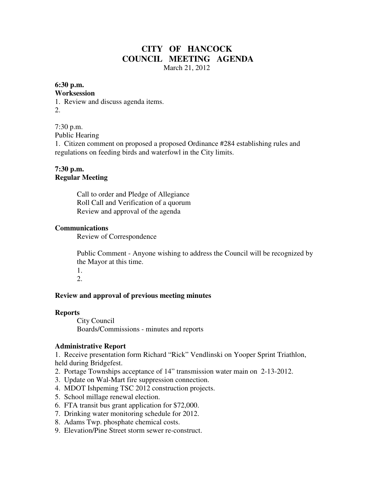## **CITY OF HANCOCK COUNCIL MEETING AGENDA**  March 21, 2012

### **6:30 p.m.**

#### **Worksession**

1. Review and discuss agenda items. 2.

7:30 p.m. Public Hearing

1. Citizen comment on proposed a proposed Ordinance #284 establishing rules and regulations on feeding birds and waterfowl in the City limits.

## **7:30 p.m. Regular Meeting**

 Call to order and Pledge of Allegiance Roll Call and Verification of a quorum Review and approval of the agenda

### **Communications**

Review of Correspondence

 Public Comment - Anyone wishing to address the Council will be recognized by the Mayor at this time.

 1. 2.

### **Review and approval of previous meeting minutes**

#### **Reports**

City Council Boards/Commissions - minutes and reports

#### **Administrative Report**

1. Receive presentation form Richard "Rick" Vendlinski on Yooper Sprint Triathlon, held during Bridgefest.

- 2. Portage Townships acceptance of 14" transmission water main on 2-13-2012.
- 3. Update on Wal-Mart fire suppression connection.
- 4. MDOT Ishpeming TSC 2012 construction projects.
- 5. School millage renewal election.
- 6. FTA transit bus grant application for \$72,000.
- 7. Drinking water monitoring schedule for 2012.
- 8. Adams Twp. phosphate chemical costs.
- 9. Elevation/Pine Street storm sewer re-construct.